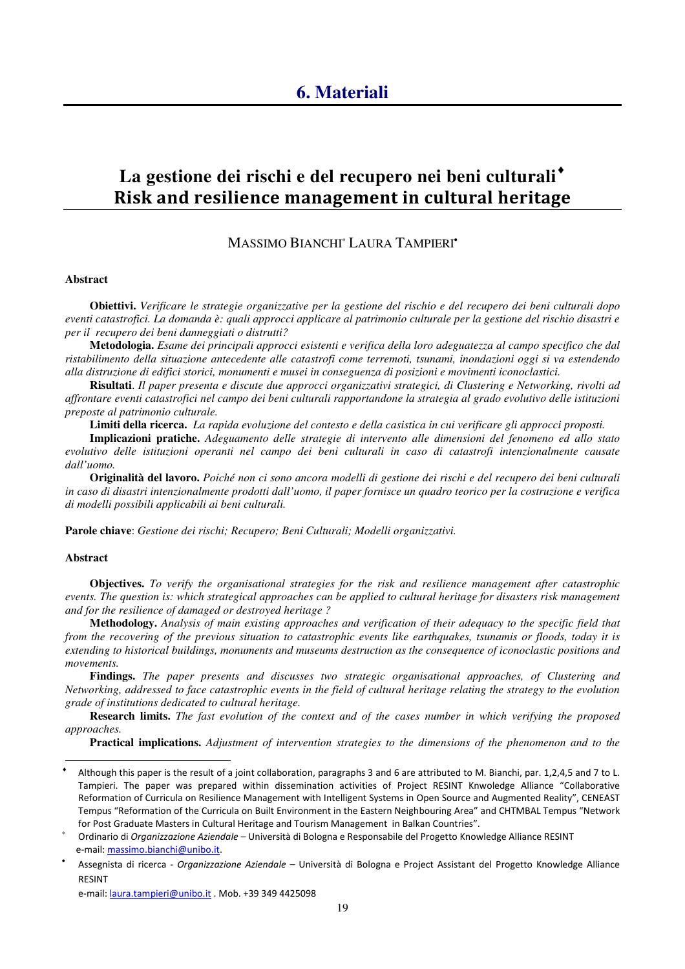# La gestione dei rischi e del recupero nei beni culturali<sup> $\bullet$ </sup> Risk and resilience management in cultural heritage

## MASSIMO BIANCHI<sup>∗</sup> LAURA TAMPIERI•

### **Abstract**

**Obiettivi.** *Verificare le strategie organizzative per la gestione del rischio e del recupero dei beni culturali dopo eventi catastrofici. La domanda è: quali approcci applicare al patrimonio culturale per la gestione del rischio disastri e per il recupero dei beni danneggiati o distrutti?* 

**Metodologia.** *Esame dei principali approcci esistenti e verifica della loro adeguatezza al campo specifico che dal ristabilimento della situazione antecedente alle catastrofi come terremoti, tsunami, inondazioni oggi si va estendendo alla distruzione di edifici storici, monumenti e musei in conseguenza di posizioni e movimenti iconoclastici.* 

**Risultati**. *Il paper presenta e discute due approcci organizzativi strategici, di Clustering e Networking, rivolti ad affrontare eventi catastrofici nel campo dei beni culturali rapportandone la strategia al grado evolutivo delle istituzioni preposte al patrimonio culturale.* 

**Limiti della ricerca.** *La rapida evoluzione del contesto e della casistica in cui verificare gli approcci proposti.* 

**Implicazioni pratiche.** *Adeguamento delle strategie di intervento alle dimensioni del fenomeno ed allo stato evolutivo delle istituzioni operanti nel campo dei beni culturali in caso di catastrofi intenzionalmente causate dall'uomo.* 

**Originalità del lavoro.** *Poiché non ci sono ancora modelli di gestione dei rischi e del recupero dei beni culturali in caso di disastri intenzionalmente prodotti dall'uomo, il paper fornisce un quadro teorico per la costruzione e verifica di modelli possibili applicabili ai beni culturali.* 

**Parole chiave**: *Gestione dei rischi; Recupero; Beni Culturali; Modelli organizzativi.*

#### **Abstract**

 $\overline{\phantom{a}}$ 

**Objectives.** *To verify the organisational strategies for the risk and resilience management after catastrophic events. The question is: which strategical approaches can be applied to cultural heritage for disasters risk management and for the resilience of damaged or destroyed heritage ?*

**Methodology.** *Analysis of main existing approaches and verification of their adequacy to the specific field that from the recovering of the previous situation to catastrophic events like earthquakes, tsunamis or floods, today it is extending to historical buildings, monuments and museums destruction as the consequence of iconoclastic positions and movements.* 

**Findings.** *The paper presents and discusses two strategic organisational approaches, of Clustering and Networking, addressed to face catastrophic events in the field of cultural heritage relating the strategy to the evolution grade of institutions dedicated to cultural heritage.*

**Research limits.** *The fast evolution of the context and of the cases number in which verifying the proposed approaches.* 

**Practical implications.** *Adjustment of intervention strategies to the dimensions of the phenomenon and to the* 

e-mail: laura.tampieri@unibo.it . Mob. +39 349 4425098

<sup>♦</sup> Although this paper is the result of a joint collaboration, paragraphs 3 and 6 are attributed to M. Bianchi, par. 1,2,4,5 and 7 to L. Tampieri. The paper was prepared within dissemination activities of Project RESINT Knwoledge Alliance "Collaborative Reformation of Curricula on Resilience Management with Intelligent Systems in Open Source and Augmented Reality", CENEAST Tempus "Reformation of the Curricula on Built Environment in the Eastern Neighbouring Area" and CHTMBAL Tempus "Network for Post Graduate Masters in Cultural Heritage and Tourism Management in Balkan Countries".

<sup>∗</sup> Ordinario di Organizzazione Aziendale – Università di Bologna e Responsabile del Progetto Knowledge Alliance RESINT e-mail: massimo.bianchi@unibo.it.

<sup>•</sup> Assegnista di ricerca - Organizzazione Aziendale - Università di Bologna e Project Assistant del Progetto Knowledge Alliance RESINT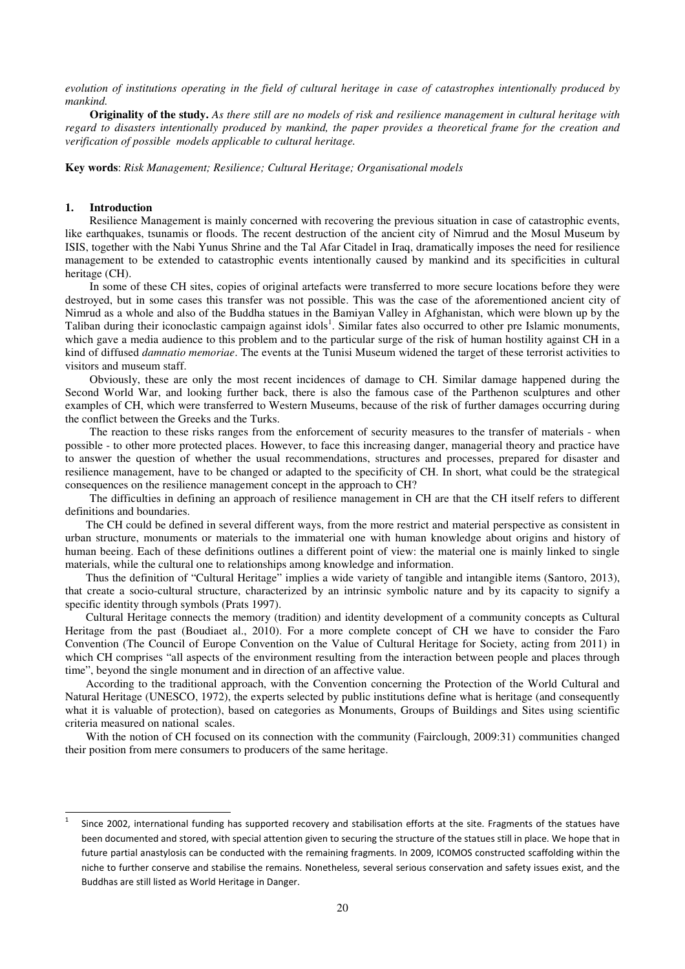*evolution of institutions operating in the field of cultural heritage in case of catastrophes intentionally produced by mankind.*

**Originality of the study.** *As there still are no models of risk and resilience management in cultural heritage with regard to disasters intentionally produced by mankind, the paper provides a theoretical frame for the creation and verification of possible models applicable to cultural heritage.* 

**Key words**: *Risk Management; Resilience; Cultural Heritage; Organisational models*

### **1. Introduction**

 $\overline{\phantom{a}}$ 

Resilience Management is mainly concerned with recovering the previous situation in case of catastrophic events, like earthquakes, tsunamis or floods. The recent destruction of the ancient city of Nimrud and the Mosul Museum by ISIS, together with the Nabi Yunus Shrine and the Tal Afar Citadel in Iraq, dramatically imposes the need for resilience management to be extended to catastrophic events intentionally caused by mankind and its specificities in cultural heritage (CH).

In some of these CH sites, copies of original artefacts were transferred to more secure locations before they were destroyed, but in some cases this transfer was not possible. This was the case of the aforementioned ancient city of Nimrud as a whole and also of the Buddha statues in the Bamiyan Valley in Afghanistan, which were blown up by the Taliban during their iconoclastic campaign against idols<sup>1</sup>. Similar fates also occurred to other pre Islamic monuments, which gave a media audience to this problem and to the particular surge of the risk of human hostility against CH in a kind of diffused *damnatio memoriae*. The events at the Tunisi Museum widened the target of these terrorist activities to visitors and museum staff.

Obviously, these are only the most recent incidences of damage to CH. Similar damage happened during the Second World War, and looking further back, there is also the famous case of the Parthenon sculptures and other examples of CH, which were transferred to Western Museums, because of the risk of further damages occurring during the conflict between the Greeks and the Turks.

The reaction to these risks ranges from the enforcement of security measures to the transfer of materials - when possible - to other more protected places. However, to face this increasing danger, managerial theory and practice have to answer the question of whether the usual recommendations, structures and processes, prepared for disaster and resilience management, have to be changed or adapted to the specificity of CH. In short, what could be the strategical consequences on the resilience management concept in the approach to CH?

The difficulties in defining an approach of resilience management in CH are that the CH itself refers to different definitions and boundaries.

The CH could be defined in several different ways, from the more restrict and material perspective as consistent in urban structure, monuments or materials to the immaterial one with human knowledge about origins and history of human beeing. Each of these definitions outlines a different point of view: the material one is mainly linked to single materials, while the cultural one to relationships among knowledge and information.

Thus the definition of "Cultural Heritage" implies a wide variety of tangible and intangible items (Santoro, 2013), that create a socio-cultural structure, characterized by an intrinsic symbolic nature and by its capacity to signify a specific identity through symbols (Prats 1997).

Cultural Heritage connects the memory (tradition) and identity development of a community concepts as Cultural Heritage from the past (Boudiaet al., 2010). For a more complete concept of CH we have to consider the Faro Convention (The Council of Europe Convention on the Value of Cultural Heritage for Society, acting from 2011) in which CH comprises "all aspects of the environment resulting from the interaction between people and places through time", beyond the single monument and in direction of an affective value.

According to the traditional approach, with the Convention concerning the Protection of the World Cultural and Natural Heritage (UNESCO, 1972), the experts selected by public institutions define what is heritage (and consequently what it is valuable of protection), based on categories as Monuments, Groups of Buildings and Sites using scientific criteria measured on national scales.

With the notion of CH focused on its connection with the community (Fairclough, 2009:31) communities changed their position from mere consumers to producers of the same heritage.

<sup>1</sup> Since 2002, international funding has supported recovery and stabilisation efforts at the site. Fragments of the statues have been documented and stored, with special attention given to securing the structure of the statues still in place. We hope that in future partial anastylosis can be conducted with the remaining fragments. In 2009, ICOMOS constructed scaffolding within the niche to further conserve and stabilise the remains. Nonetheless, several serious conservation and safety issues exist, and the Buddhas are still listed as World Heritage in Danger.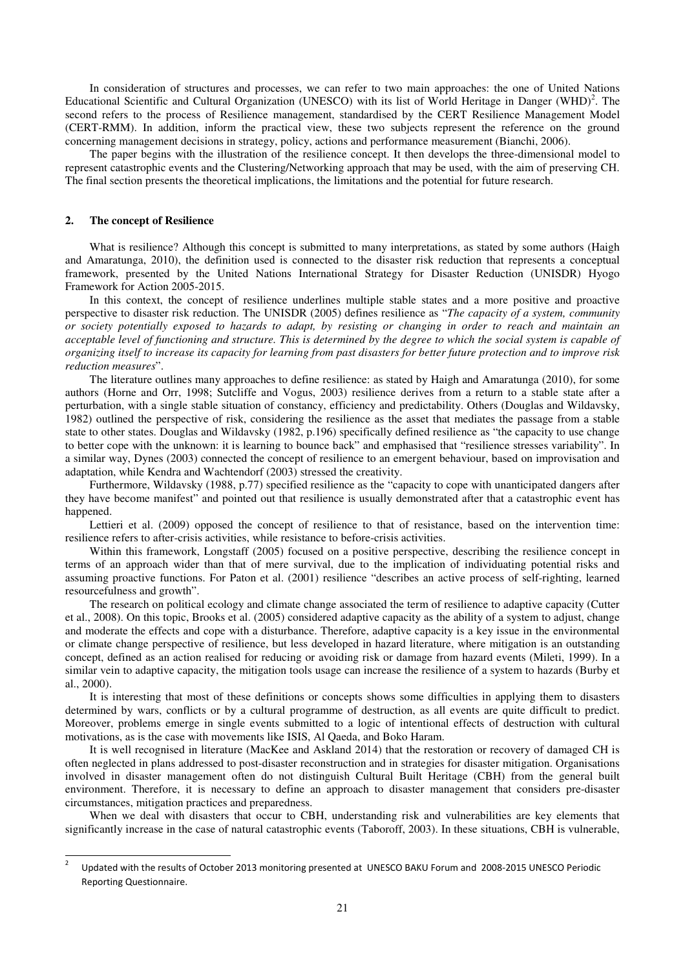In consideration of structures and processes, we can refer to two main approaches: the one of United Nations Educational Scientific and Cultural Organization (UNESCO) with its list of World Heritage in Danger (WHD)<sup>2</sup>. The second refers to the process of Resilience management, standardised by the CERT Resilience Management Model (CERT-RMM). In addition, inform the practical view, these two subjects represent the reference on the ground concerning management decisions in strategy, policy, actions and performance measurement (Bianchi, 2006).

The paper begins with the illustration of the resilience concept. It then develops the three-dimensional model to represent catastrophic events and the Clustering/Networking approach that may be used, with the aim of preserving CH. The final section presents the theoretical implications, the limitations and the potential for future research.

### **2. The concept of Resilience**

 $\overline{\phantom{a}}$ 

What is resilience? Although this concept is submitted to many interpretations, as stated by some authors (Haigh and Amaratunga, 2010), the definition used is connected to the disaster risk reduction that represents a conceptual framework, presented by the United Nations International Strategy for Disaster Reduction (UNISDR) Hyogo Framework for Action 2005-2015.

In this context, the concept of resilience underlines multiple stable states and a more positive and proactive perspective to disaster risk reduction. The UNISDR (2005) defines resilience as "*The capacity of a system, community or society potentially exposed to hazards to adapt, by resisting or changing in order to reach and maintain an acceptable level of functioning and structure. This is determined by the degree to which the social system is capable of organizing itself to increase its capacity for learning from past disasters for better future protection and to improve risk reduction measures*".

The literature outlines many approaches to define resilience: as stated by Haigh and Amaratunga (2010), for some authors (Horne and Orr, 1998; Sutcliffe and Vogus, 2003) resilience derives from a return to a stable state after a perturbation, with a single stable situation of constancy, efficiency and predictability. Others (Douglas and Wildavsky, 1982) outlined the perspective of risk, considering the resilience as the asset that mediates the passage from a stable state to other states. Douglas and Wildavsky (1982, p.196) specifically defined resilience as "the capacity to use change to better cope with the unknown: it is learning to bounce back" and emphasised that "resilience stresses variability". In a similar way, Dynes (2003) connected the concept of resilience to an emergent behaviour, based on improvisation and adaptation, while Kendra and Wachtendorf (2003) stressed the creativity.

Furthermore, Wildavsky (1988, p.77) specified resilience as the "capacity to cope with unanticipated dangers after they have become manifest" and pointed out that resilience is usually demonstrated after that a catastrophic event has happened.

Lettieri et al. (2009) opposed the concept of resilience to that of resistance, based on the intervention time: resilience refers to after-crisis activities, while resistance to before-crisis activities.

Within this framework, Longstaff (2005) focused on a positive perspective, describing the resilience concept in terms of an approach wider than that of mere survival, due to the implication of individuating potential risks and assuming proactive functions. For Paton et al. (2001) resilience "describes an active process of self-righting, learned resourcefulness and growth".

The research on political ecology and climate change associated the term of resilience to adaptive capacity (Cutter et al., 2008). On this topic, Brooks et al. (2005) considered adaptive capacity as the ability of a system to adjust, change and moderate the effects and cope with a disturbance. Therefore, adaptive capacity is a key issue in the environmental or climate change perspective of resilience, but less developed in hazard literature, where mitigation is an outstanding concept, defined as an action realised for reducing or avoiding risk or damage from hazard events (Mileti, 1999). In a similar vein to adaptive capacity, the mitigation tools usage can increase the resilience of a system to hazards (Burby et al., 2000).

It is interesting that most of these definitions or concepts shows some difficulties in applying them to disasters determined by wars, conflicts or by a cultural programme of destruction, as all events are quite difficult to predict. Moreover, problems emerge in single events submitted to a logic of intentional effects of destruction with cultural motivations, as is the case with movements like ISIS, Al Qaeda, and Boko Haram.

It is well recognised in literature (MacKee and Askland 2014) that the restoration or recovery of damaged CH is often neglected in plans addressed to post-disaster reconstruction and in strategies for disaster mitigation. Organisations involved in disaster management often do not distinguish Cultural Built Heritage (CBH) from the general built environment. Therefore, it is necessary to define an approach to disaster management that considers pre-disaster circumstances, mitigation practices and preparedness.

When we deal with disasters that occur to CBH, understanding risk and vulnerabilities are key elements that significantly increase in the case of natural catastrophic events (Taboroff, 2003). In these situations, CBH is vulnerable,

<sup>2</sup> Updated with the results of October 2013 monitoring presented at UNESCO BAKU Forum and 2008-2015 UNESCO Periodic Reporting Questionnaire.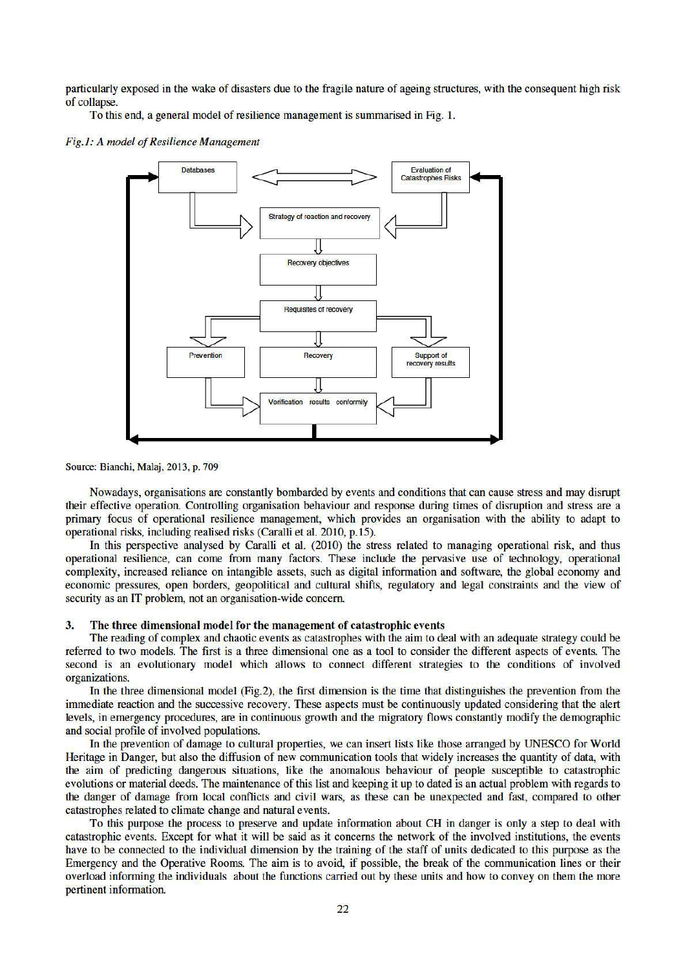particularly exposed in the wake of disasters due to the fragile nature of ageing structures, with the consequent high risk of collapse.

To this end, a general model of resilience management is summarised in Fig. 1.

#### Fig.1: A model of Resilience Management



Source: Bianchi, Malaj, 2013, p. 709

Nowadays, organisations are constantly bombarded by events and conditions that can cause stress and may disrupt their effective operation. Controlling organisation behaviour and response during times of disruption and stress are a primary focus of operational resilience management, which provides an organisation with the ability to adapt to operational risks, including realised risks (Caralli et al. 2010, p.15).

In this perspective analysed by Caralli et al. (2010) the stress related to managing operational risk, and thus operational resilience, can come from many factors. These include the pervasive use of technology, operational complexity, increased reliance on intangible assets, such as digital information and software, the global economy and economic pressures, open borders, geopolitical and cultural shifts, regulatory and legal constraints and the view of security as an IT problem, not an organisation-wide concern.

#### $3.$ The three dimensional model for the management of catastrophic events

The reading of complex and chaotic events as catastrophes with the aim to deal with an adequate strategy could be referred to two models. The first is a three dimensional one as a tool to consider the different aspects of events. The second is an evolutionary model which allows to connect different strategies to the conditions of involved organizations.

In the three dimensional model (Fig.2), the first dimension is the time that distinguishes the prevention from the immediate reaction and the successive recovery. These aspects must be continuously updated considering that the alert levels, in emergency procedures, are in continuous growth and the migratory flows constantly modify the demographic and social profile of involved populations.

In the prevention of damage to cultural properties, we can insert lists like those arranged by UNESCO for World Heritage in Danger, but also the diffusion of new communication tools that widely increases the quantity of data, with the aim of predicting dangerous situations, like the anomalous behaviour of people susceptible to catastrophic evolutions or material deeds. The maintenance of this list and keeping it up to dated is an actual problem with regards to the danger of damage from local conflicts and civil wars, as these can be unexpected and fast, compared to other catastrophes related to climate change and natural events.

To this purpose the process to preserve and update information about CH in danger is only a step to deal with catastrophic events. Except for what it will be said as it concerns the network of the involved institutions, the events have to be connected to the individual dimension by the training of the staff of units dedicated to this purpose as the Emergency and the Operative Rooms. The aim is to avoid, if possible, the break of the communication lines or their overload informing the individuals about the functions carried out by these units and how to convey on them the more pertinent information.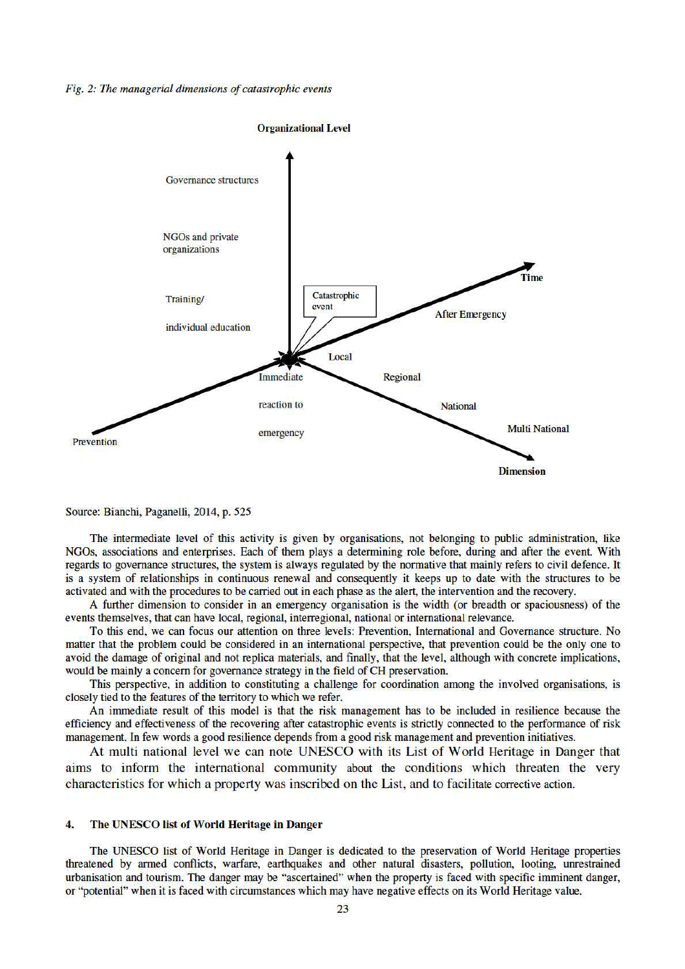#### Fig. 2: The managerial dimensions of catastrophic events



Source: Bianchi, Paganelli, 2014, p. 525

The intermediate level of this activity is given by organisations, not belonging to public administration, like NGOs, associations and enterprises. Each of them plays a determining role before, during and after the event. With regards to governance structures, the system is always regulated by the normative that mainly refers to civil defence. It is a system of relationships in continuous renewal and consequently it keeps up to date with the structures to be activated and with the procedures to be carried out in each phase as the alert, the intervention and the recovery.

A further dimension to consider in an emergency organisation is the width (or breadth or spaciousness) of the events themselves, that can have local, regional, interregional, national or international relevance.

To this end, we can focus our attention on three levels: Prevention, International and Governance structure. No matter that the problem could be considered in an international perspective, that prevention could be the only one to avoid the damage of original and not replica materials, and finally, that the level, although with concrete implications, would be mainly a concern for governance strategy in the field of CH preservation.

This perspective, in addition to constituting a challenge for coordination among the involved organisations, is closely tied to the features of the territory to which we refer.

An immediate result of this model is that the risk management has to be included in resilience because the efficiency and effectiveness of the recovering after catastrophic events is strictly connected to the performance of risk management. In few words a good resilience depends from a good risk management and prevention initiatives.

At multi national level we can note UNESCO with its List of World Heritage in Danger that aims to inform the international community about the conditions which threaten the very characteristics for which a property was inscribed on the List, and to facilitate corrective action.

#### 4. The UNESCO list of World Heritage in Danger

The UNESCO list of World Heritage in Danger is dedicated to the preservation of World Heritage properties threatened by armed conflicts, warfare, earthquakes and other natural disasters, pollution, looting, unrestrained urbanisation and tourism. The danger may be "ascertained" when the property is faced with specific imminent danger, or "potential" when it is faced with circumstances which may have negative effects on its World Heritage value.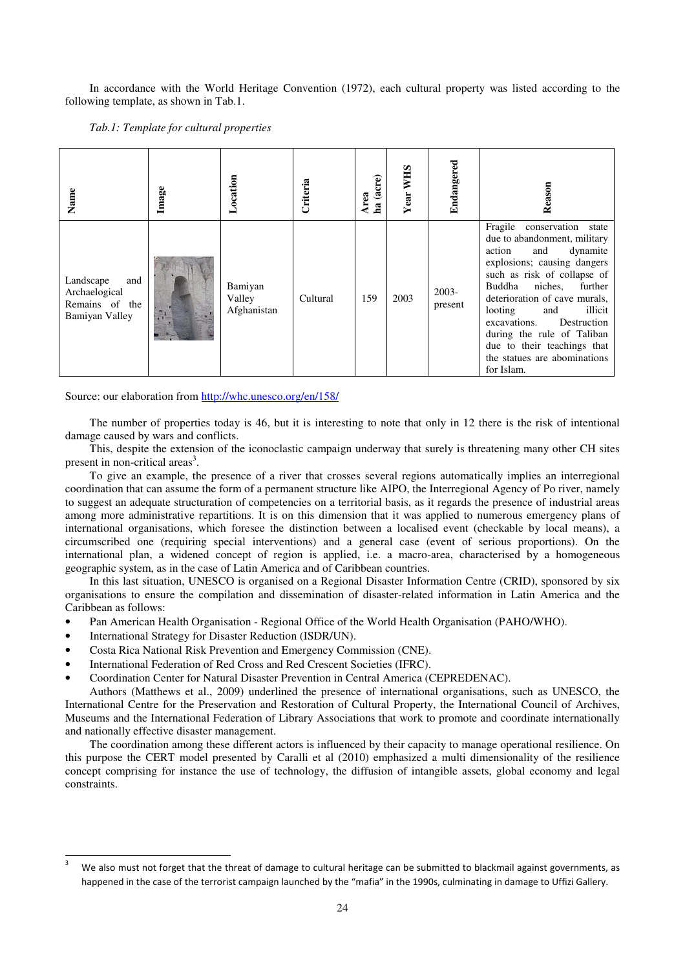In accordance with the World Heritage Convention (1972), each cultural property was listed according to the following template, as shown in Tab.1.

*Tab.1: Template for cultural properties* 

| Name                                                                  | Image | ocation                          | Criteria | ha (acre)<br>Area | <b>WHS</b><br>Year | Endangered          | Reason                                                                                                                                                                                                                                                                                                                                                                                              |
|-----------------------------------------------------------------------|-------|----------------------------------|----------|-------------------|--------------------|---------------------|-----------------------------------------------------------------------------------------------------------------------------------------------------------------------------------------------------------------------------------------------------------------------------------------------------------------------------------------------------------------------------------------------------|
| Landscape<br>and<br>Archaelogical<br>Remains of the<br>Bamiyan Valley |       | Bamiyan<br>Valley<br>Afghanistan | Cultural | 159               | 2003               | $2003 -$<br>present | Fragile<br>conservation<br>state<br>due to abandonment, military<br>and<br>dynamite<br>action<br>explosions; causing dangers<br>such as risk of collapse of<br>Buddha<br>niches,<br>further<br>deterioration of cave murals,<br>illicit<br>looting<br>and<br>excavations.<br>Destruction<br>during the rule of Taliban<br>due to their teachings that<br>the statues are abominations<br>for Islam. |

Source: our elaboration from http://whc.unesco.org/en/158/

The number of properties today is 46, but it is interesting to note that only in 12 there is the risk of intentional damage caused by wars and conflicts.

This, despite the extension of the iconoclastic campaign underway that surely is threatening many other CH sites present in non-critical areas<sup>3</sup>.

To give an example, the presence of a river that crosses several regions automatically implies an interregional coordination that can assume the form of a permanent structure like AIPO, the Interregional Agency of Po river, namely to suggest an adequate structuration of competencies on a territorial basis, as it regards the presence of industrial areas among more administrative repartitions. It is on this dimension that it was applied to numerous emergency plans of international organisations, which foresee the distinction between a localised event (checkable by local means), a circumscribed one (requiring special interventions) and a general case (event of serious proportions). On the international plan, a widened concept of region is applied, i.e. a macro-area, characterised by a homogeneous geographic system, as in the case of Latin America and of Caribbean countries.

In this last situation, UNESCO is organised on a Regional Disaster Information Centre (CRID), sponsored by six organisations to ensure the compilation and dissemination of disaster-related information in Latin America and the Caribbean as follows:

- Pan American Health Organisation Regional Office of the World Health Organisation (PAHO/WHO).
- International Strategy for Disaster Reduction (ISDR/UN).

 $\overline{\phantom{a}}$ 

- Costa Rica National Risk Prevention and Emergency Commission (CNE).
- International Federation of Red Cross and Red Crescent Societies (IFRC).
- Coordination Center for Natural Disaster Prevention in Central America (CEPREDENAC).

Authors (Matthews et al., 2009) underlined the presence of international organisations, such as UNESCO, the International Centre for the Preservation and Restoration of Cultural Property, the International Council of Archives, Museums and the International Federation of Library Associations that work to promote and coordinate internationally and nationally effective disaster management.

The coordination among these different actors is influenced by their capacity to manage operational resilience. On this purpose the CERT model presented by Caralli et al (2010) emphasized a multi dimensionality of the resilience concept comprising for instance the use of technology, the diffusion of intangible assets, global economy and legal constraints.

<sup>3</sup> We also must not forget that the threat of damage to cultural heritage can be submitted to blackmail against governments, as happened in the case of the terrorist campaign launched by the "mafia" in the 1990s, culminating in damage to Uffizi Gallery.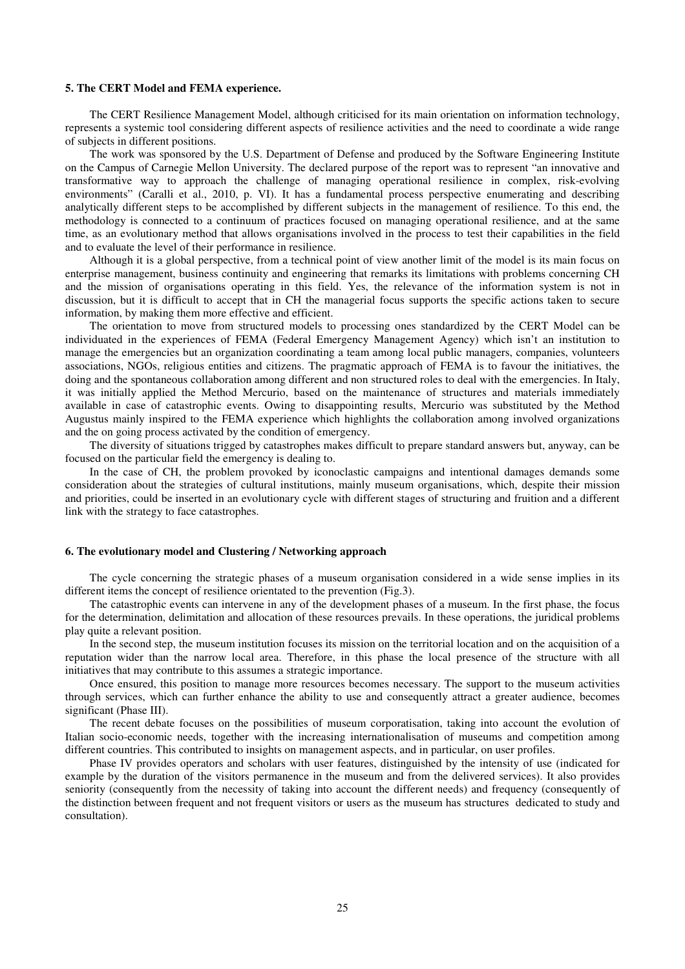#### **5. The CERT Model and FEMA experience.**

The CERT Resilience Management Model, although criticised for its main orientation on information technology, represents a systemic tool considering different aspects of resilience activities and the need to coordinate a wide range of subjects in different positions.

The work was sponsored by the U.S. Department of Defense and produced by the Software Engineering Institute on the Campus of Carnegie Mellon University. The declared purpose of the report was to represent "an innovative and transformative way to approach the challenge of managing operational resilience in complex, risk-evolving environments" (Caralli et al., 2010, p. VI). It has a fundamental process perspective enumerating and describing analytically different steps to be accomplished by different subjects in the management of resilience. To this end, the methodology is connected to a continuum of practices focused on managing operational resilience, and at the same time, as an evolutionary method that allows organisations involved in the process to test their capabilities in the field and to evaluate the level of their performance in resilience.

Although it is a global perspective, from a technical point of view another limit of the model is its main focus on enterprise management, business continuity and engineering that remarks its limitations with problems concerning CH and the mission of organisations operating in this field. Yes, the relevance of the information system is not in discussion, but it is difficult to accept that in CH the managerial focus supports the specific actions taken to secure information, by making them more effective and efficient.

The orientation to move from structured models to processing ones standardized by the CERT Model can be individuated in the experiences of FEMA (Federal Emergency Management Agency) which isn't an institution to manage the emergencies but an organization coordinating a team among local public managers, companies, volunteers associations, NGOs, religious entities and citizens. The pragmatic approach of FEMA is to favour the initiatives, the doing and the spontaneous collaboration among different and non structured roles to deal with the emergencies. In Italy, it was initially applied the Method Mercurio, based on the maintenance of structures and materials immediately available in case of catastrophic events. Owing to disappointing results, Mercurio was substituted by the Method Augustus mainly inspired to the FEMA experience which highlights the collaboration among involved organizations and the on going process activated by the condition of emergency.

The diversity of situations trigged by catastrophes makes difficult to prepare standard answers but, anyway, can be focused on the particular field the emergency is dealing to.

In the case of CH, the problem provoked by iconoclastic campaigns and intentional damages demands some consideration about the strategies of cultural institutions, mainly museum organisations, which, despite their mission and priorities, could be inserted in an evolutionary cycle with different stages of structuring and fruition and a different link with the strategy to face catastrophes.

#### **6. The evolutionary model and Clustering / Networking approach**

The cycle concerning the strategic phases of a museum organisation considered in a wide sense implies in its different items the concept of resilience orientated to the prevention (Fig.3).

The catastrophic events can intervene in any of the development phases of a museum. In the first phase, the focus for the determination, delimitation and allocation of these resources prevails. In these operations, the juridical problems play quite a relevant position.

In the second step, the museum institution focuses its mission on the territorial location and on the acquisition of a reputation wider than the narrow local area. Therefore, in this phase the local presence of the structure with all initiatives that may contribute to this assumes a strategic importance.

Once ensured, this position to manage more resources becomes necessary. The support to the museum activities through services, which can further enhance the ability to use and consequently attract a greater audience, becomes significant (Phase III).

The recent debate focuses on the possibilities of museum corporatisation, taking into account the evolution of Italian socio-economic needs, together with the increasing internationalisation of museums and competition among different countries. This contributed to insights on management aspects, and in particular, on user profiles.

Phase IV provides operators and scholars with user features, distinguished by the intensity of use (indicated for example by the duration of the visitors permanence in the museum and from the delivered services). It also provides seniority (consequently from the necessity of taking into account the different needs) and frequency (consequently of the distinction between frequent and not frequent visitors or users as the museum has structures dedicated to study and consultation).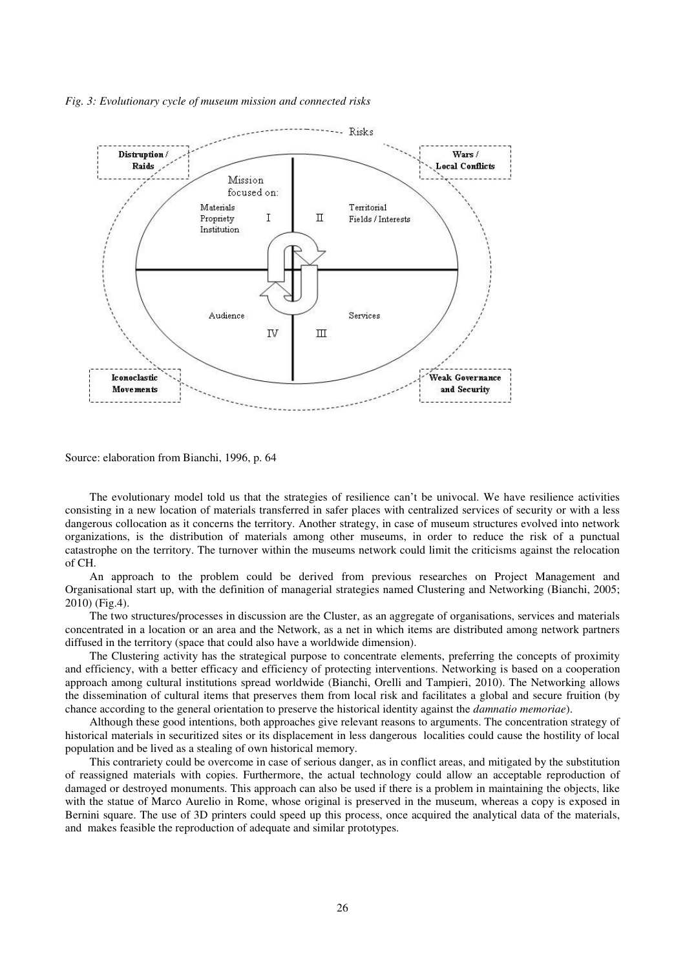*Fig. 3: Evolutionary cycle of museum mission and connected risks* 



Source: elaboration from Bianchi, 1996, p. 64

The evolutionary model told us that the strategies of resilience can't be univocal. We have resilience activities consisting in a new location of materials transferred in safer places with centralized services of security or with a less dangerous collocation as it concerns the territory. Another strategy, in case of museum structures evolved into network organizations, is the distribution of materials among other museums, in order to reduce the risk of a punctual catastrophe on the territory. The turnover within the museums network could limit the criticisms against the relocation of CH.

An approach to the problem could be derived from previous researches on Project Management and Organisational start up, with the definition of managerial strategies named Clustering and Networking (Bianchi, 2005; 2010) (Fig.4).

The two structures/processes in discussion are the Cluster, as an aggregate of organisations, services and materials concentrated in a location or an area and the Network, as a net in which items are distributed among network partners diffused in the territory (space that could also have a worldwide dimension).

The Clustering activity has the strategical purpose to concentrate elements, preferring the concepts of proximity and efficiency, with a better efficacy and efficiency of protecting interventions. Networking is based on a cooperation approach among cultural institutions spread worldwide (Bianchi, Orelli and Tampieri, 2010). The Networking allows the dissemination of cultural items that preserves them from local risk and facilitates a global and secure fruition (by chance according to the general orientation to preserve the historical identity against the *damnatio memoriae*).

Although these good intentions, both approaches give relevant reasons to arguments. The concentration strategy of historical materials in securitized sites or its displacement in less dangerous localities could cause the hostility of local population and be lived as a stealing of own historical memory.

This contrariety could be overcome in case of serious danger, as in conflict areas, and mitigated by the substitution of reassigned materials with copies. Furthermore, the actual technology could allow an acceptable reproduction of damaged or destroyed monuments. This approach can also be used if there is a problem in maintaining the objects, like with the statue of Marco Aurelio in Rome, whose original is preserved in the museum, whereas a copy is exposed in Bernini square. The use of 3D printers could speed up this process, once acquired the analytical data of the materials, and makes feasible the reproduction of adequate and similar prototypes.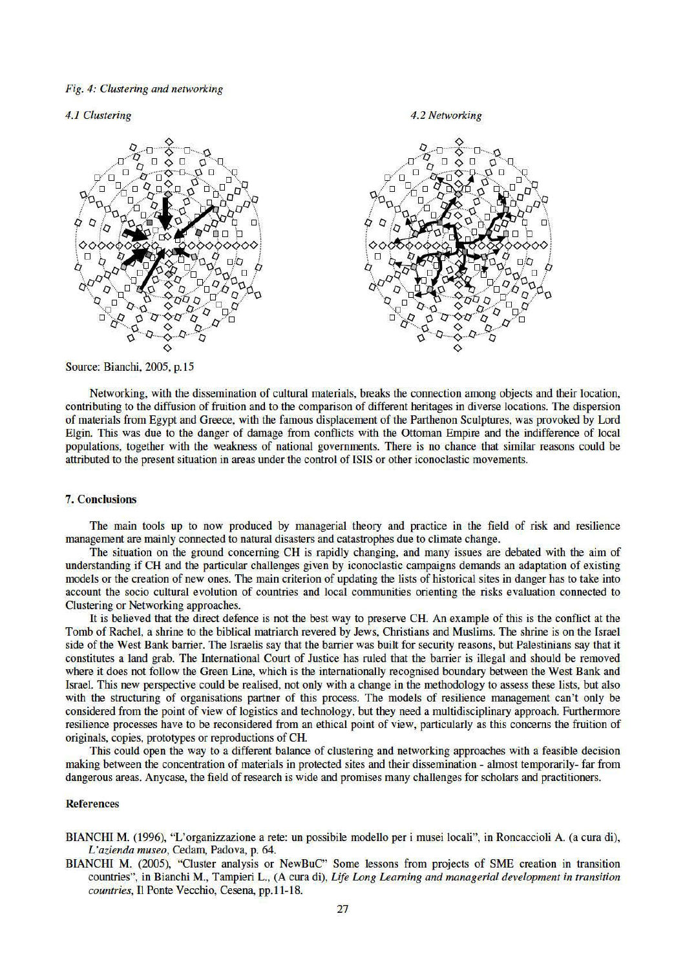Fig. 4: Clustering and networking

#### 4.1 Clustering





Source: Bianchi, 2005, p.15

Networking, with the dissemination of cultural materials, breaks the connection among objects and their location, contributing to the diffusion of fruition and to the comparison of different heritages in diverse locations. The dispersion of materials from Egypt and Greece, with the famous displacement of the Parthenon Sculptures, was provoked by Lord Elgin. This was due to the danger of damage from conflicts with the Ottoman Empire and the indifference of local populations, together with the weakness of national governments. There is no chance that similar reasons could be attributed to the present situation in areas under the control of ISIS or other iconoclastic movements.

## **7. Conclusions**

The main tools up to now produced by managerial theory and practice in the field of risk and resilience management are mainly connected to natural disasters and catastrophes due to climate change.

The situation on the ground concerning CH is rapidly changing, and many issues are debated with the aim of understanding if CH and the particular challenges given by iconoclastic campaigns demands an adaptation of existing models or the creation of new ones. The main criterion of updating the lists of historical sites in danger has to take into account the socio cultural evolution of countries and local communities orienting the risks evaluation connected to Clustering or Networking approaches.

It is believed that the direct defence is not the best way to preserve CH. An example of this is the conflict at the Tomb of Rachel, a shrine to the biblical matriarch revered by Jews, Christians and Muslims. The shrine is on the Israel side of the West Bank barrier. The Israelis say that the barrier was built for security reasons, but Palestinians say that it constitutes a land grab. The International Court of Justice has ruled that the barrier is illegal and should be removed where it does not follow the Green Line, which is the internationally recognised boundary between the West Bank and Israel. This new perspective could be realised, not only with a change in the methodology to assess these lists, but also with the structuring of organisations partner of this process. The models of resilience management can't only be considered from the point of view of logistics and technology, but they need a multidisciplinary approach. Furthermore resilience processes have to be reconsidered from an ethical point of view, particularly as this concerns the fruition of originals, copies, prototypes or reproductions of CH.

This could open the way to a different balance of clustering and networking approaches with a feasible decision making between the concentration of materials in protected sites and their dissemination - almost temporarily- far from dangerous areas. Anycase, the field of research is wide and promises many challenges for scholars and practitioners.

### **References**

- BIANCHI M. (1996), "L'organizzazione a rete: un possibile modello per i musei locali", in Roncaccioli A. (a cura di), L'azienda museo, Cedam, Padova, p. 64.
- BIANCHI M. (2005), "Cluster analysis or NewBuC" Some lessons from projects of SME creation in transition countries", in Bianchi M., Tampieri L., (A cura di), Life Long Learning and managerial development in transition countries, Il Ponte Vecchio, Cesena, pp.11-18.

#### 4.2 Networking